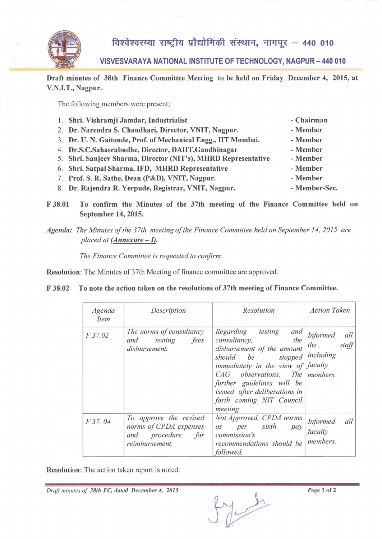

विश्वेश्वरय्या राष्ट्रीय प्रौद्योगिकी संस्थान, नागपूर – 440 010

**VISVESVARAYA NATIONAL INSTITUTE OF TECHNOLOGY, NAGPUR - 440 010** 

Draft minutes of 38th Finance Committee Meeting to be held on Friday December 4, 2015, at V.N.I.T., Nagpur.

The following members were present;

| 1. Shri. Vishramji Jamdar, Industrialist                       | - Chairman    |
|----------------------------------------------------------------|---------------|
| 2. Dr. Narendra S. Chaudhari, Director, VNIT, Nagpur.          | - Member      |
| 3. Dr. U. N. Gaitonde, Prof. of Mechanical Engg., IIT Mumbai.  | - Member      |
| 4. Dr.S.C.Sahasrabudhe, Director, DAIIT, Gandhinagar           | - Member      |
| 5. Shri. Sanjeev Sharma, Director (NIT's), MHRD Representative | - Member      |
| 6. Shri. Satpal Sharma, IFD, MHRD Representative               | - Member      |
| 7. Prof. S. R. Sathe, Dean (P&D), VNIT, Nagpur.                | - Member      |
| 8. Dr. Rajendra R. Yerpude, Registrar, VNIT, Nagpur.           | - Member-Sec. |

F 38.01 To confirm the Minutes of the 37th meeting of the Finance Committee held on September 14, 2015.

Agenda: The Minutes of the 37th meeting of the Finance Committee held on September 14, 2015 are *placed at (Annexure - I).* 

*The Finance Committee is requested to confirm.* 

Resolution: The Minutes of 37th Meeting of finance committee are approved.

F 38.02 To note the action taken on the resolutions of 37th meeting of Finance Committee.

| Agenda<br>Item | Description                                                                             | Resolution                                                                                                                                                                                                                                                                                       | <b>Action Taken</b>                                 |
|----------------|-----------------------------------------------------------------------------------------|--------------------------------------------------------------------------------------------------------------------------------------------------------------------------------------------------------------------------------------------------------------------------------------------------|-----------------------------------------------------|
| F 37.02        | The norms of consultancy<br>and testing<br>fees<br>disbursement.                        | Regarding testing<br>and<br>consultancy,<br>the<br>disbursement of the amount<br>should be stopped<br>immediately in the view of $\frac{f}{f}$ faculty<br>$CAG$ observations. The members,<br>further guidelines will be<br>issued after deliberations in<br>forth coming NIT Council<br>meeting | <b>Informed</b><br>all<br>the<br>staff<br>including |
| F 37.04        | To approve the revised<br>norms of CPDA expenses<br>and procedure for<br>reimbursement. | Not Approved; CPDA norms<br>per sixth<br>a <sub>S</sub><br>pay<br>commission's<br>recommendations should be<br>followed.                                                                                                                                                                         | <b>Informed</b><br>all<br>faculty<br>members.       |

Resolution: The action taken report is noted.

*Draft minutes of 38th FC, dated December 4, 2015* 

Much

*Page 1 of 2*